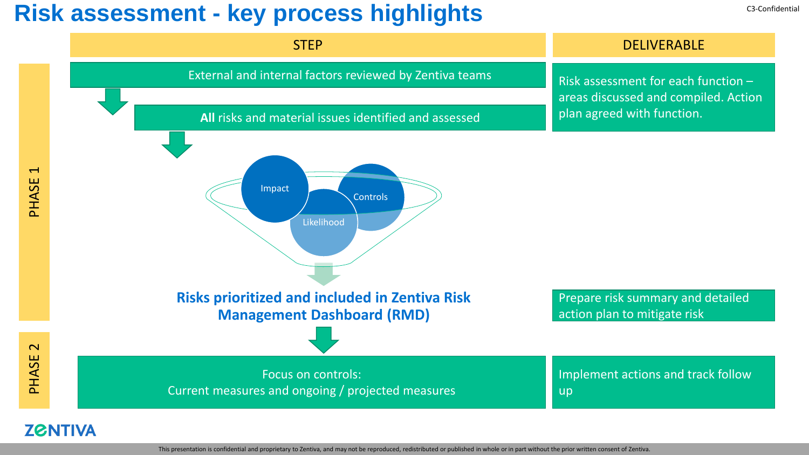### Risk assessment - key process highlights **C3-Confidential** C3-Confidential



This presentation is confidential and proprietary to Zentiva, and may not be reproduced, redistributed or published in whole or in part without the prior written consent of Zentiva.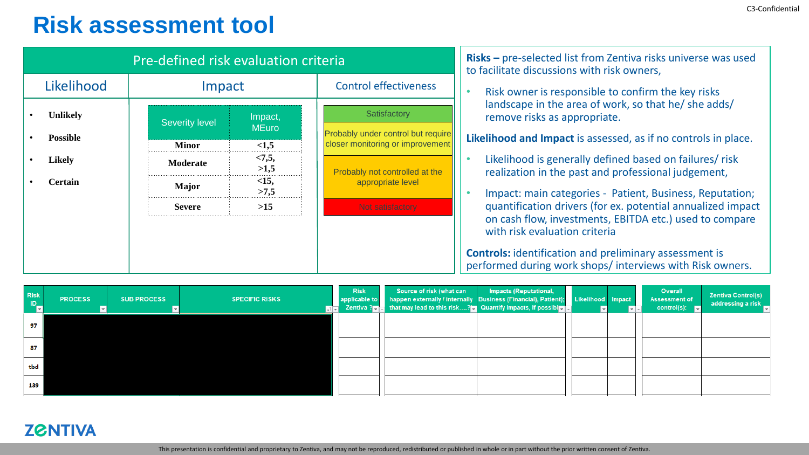## **Risk assessment tool**

| Pre-defined risk evaluation criteria                                                                                                                                                                                                                                                                                                                                                                               | Risks - pre-selected list from Zentiva risks universe was used<br>to facilitate discussions with risk owners,                                                                                                                                                                                                                                                                                                                                                                                                                                                                                                               |  |  |  |  |  |
|--------------------------------------------------------------------------------------------------------------------------------------------------------------------------------------------------------------------------------------------------------------------------------------------------------------------------------------------------------------------------------------------------------------------|-----------------------------------------------------------------------------------------------------------------------------------------------------------------------------------------------------------------------------------------------------------------------------------------------------------------------------------------------------------------------------------------------------------------------------------------------------------------------------------------------------------------------------------------------------------------------------------------------------------------------------|--|--|--|--|--|
| Likelihood<br><b>Control effectiveness</b><br>Impact                                                                                                                                                                                                                                                                                                                                                               | Risk owner is responsible to confirm the key risks                                                                                                                                                                                                                                                                                                                                                                                                                                                                                                                                                                          |  |  |  |  |  |
| Satisfactory<br>Unlikely<br>Impact,<br><b>Severity level</b><br><b>MEuro</b><br>Probably under control but require<br><b>Possible</b><br>closer monitoring or improvement<br><1,5<br><b>Minor</b><br>< 7, 5,<br><b>Likely</b><br><b>Moderate</b><br>>1,5<br>Probably not controlled at the<br>$<15$ ,<br><b>Certain</b><br>appropriate level<br><b>Major</b><br>>7,5<br>$>15$<br><b>Severe</b><br>Not satisfactory | landscape in the area of work, so that he/ she adds/<br>remove risks as appropriate.<br>Likelihood and Impact is assessed, as if no controls in place.<br>Likelihood is generally defined based on failures/risk<br>realization in the past and professional judgement,<br>Impact: main categories - Patient, Business, Reputation;<br>quantification drivers (for ex. potential annualized impact<br>on cash flow, investments, EBITDA etc.) used to compare<br>with risk evaluation criteria<br><b>Controls:</b> identification and preliminary assessment is<br>performed during work shops/interviews with Risk owners. |  |  |  |  |  |

| <b>Risk</b><br>$\blacksquare$ | <b>PROCESS</b> | <b>SUB PROCESS</b> | <b>SPECIFIC RISKS</b><br>पार | <b>Risk</b> | Source of risk (what can<br>applicable to happen externally / internally Business (Financial), Patient); Likelihood Impact<br>Zentiva ? $\blacksquare$ that may lead to this risk? $\blacksquare$ Quantify impacts, if possible $\blacksquare$ | Impacts (Reputational, |  | Overall<br>Assessment of<br>control(s): $\blacksquare$ | <b>Zentiva Control(s)</b><br>addressing a risk _ |
|-------------------------------|----------------|--------------------|------------------------------|-------------|------------------------------------------------------------------------------------------------------------------------------------------------------------------------------------------------------------------------------------------------|------------------------|--|--------------------------------------------------------|--------------------------------------------------|
| 97                            |                |                    |                              |             |                                                                                                                                                                                                                                                |                        |  |                                                        |                                                  |
| 87                            |                |                    |                              |             |                                                                                                                                                                                                                                                |                        |  |                                                        |                                                  |
| tbd                           |                |                    |                              |             |                                                                                                                                                                                                                                                |                        |  |                                                        |                                                  |
| 139                           |                |                    |                              |             |                                                                                                                                                                                                                                                |                        |  |                                                        |                                                  |

#### **ZGNTIVA**

This presentation is confidential and proprietary to Zentiva, and may not be reproduced, redistributed or published in whole or in part without the prior written consent of Zentiva.